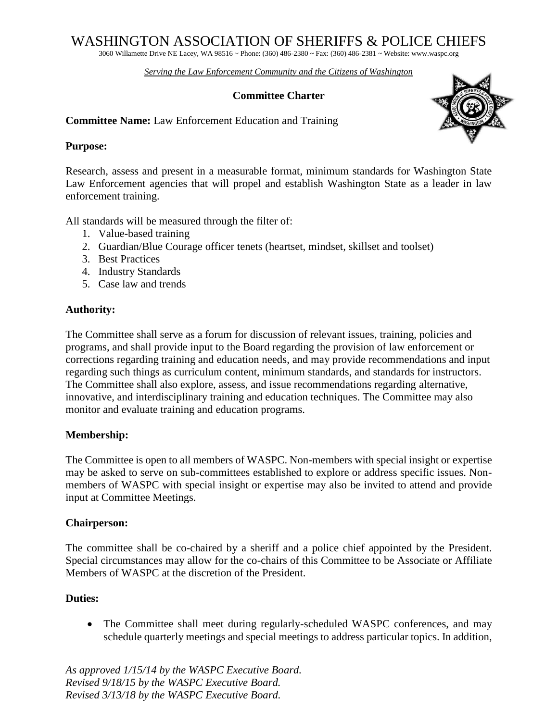# WASHINGTON ASSOCIATION OF SHERIFFS & POLICE CHIEFS

3060 Willamette Drive NE Lacey, WA 98516 ~ Phone: (360) 486-2380 ~ Fax: (360) 486-2381 ~ Website: www.waspc.org

*Serving the Law Enforcement Community and the Citizens of Washington* 

## **Committee Charter**

**Committee Name:** Law Enforcement Education and Training

#### **Purpose:**

Research, assess and present in a measurable format, minimum standards for Washington State Law Enforcement agencies that will propel and establish Washington State as a leader in law enforcement training.

All standards will be measured through the filter of:

- 1. Value-based training
- 2. Guardian/Blue Courage officer tenets (heartset, mindset, skillset and toolset)
- 3. Best Practices
- 4. Industry Standards
- 5. Case law and trends

## **Authority:**

The Committee shall serve as a forum for discussion of relevant issues, training, policies and programs, and shall provide input to the Board regarding the provision of law enforcement or corrections regarding training and education needs, and may provide recommendations and input regarding such things as curriculum content, minimum standards, and standards for instructors. The Committee shall also explore, assess, and issue recommendations regarding alternative, innovative, and interdisciplinary training and education techniques. The Committee may also monitor and evaluate training and education programs.

## **Membership:**

The Committee is open to all members of WASPC. Non-members with special insight or expertise may be asked to serve on sub-committees established to explore or address specific issues. Nonmembers of WASPC with special insight or expertise may also be invited to attend and provide input at Committee Meetings.

## **Chairperson:**

The committee shall be co-chaired by a sheriff and a police chief appointed by the President. Special circumstances may allow for the co-chairs of this Committee to be Associate or Affiliate Members of WASPC at the discretion of the President.

## **Duties:**

• The Committee shall meet during regularly-scheduled WASPC conferences, and may schedule quarterly meetings and special meetings to address particular topics. In addition,

*As approved 1/15/14 by the WASPC Executive Board. Revised 9/18/15 by the WASPC Executive Board. Revised 3/13/18 by the WASPC Executive Board.*